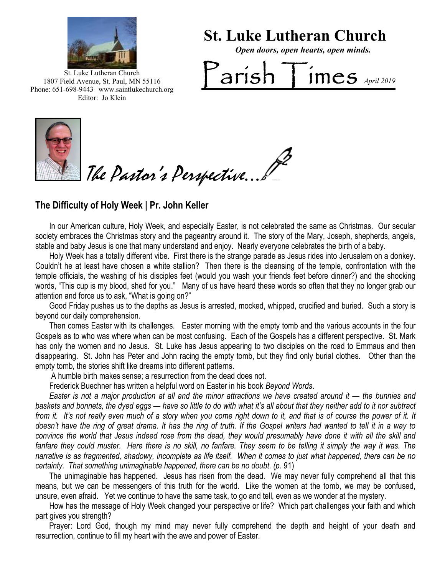

St. Luke Lutheran Church

Open doors, open hearts, open minds.

 $\sum_{\text{array 2019}}$ St. Luke Lutheran Church 1807 Field Avenue, St. Paul, MN 55116 Phone: 651-698-9443 | www.saintlukechurch.org Editor: Jo Klein



The Pastor's Perspective...

# The Difficulty of Holy Week | Pr. John Keller

 In our American culture, Holy Week, and especially Easter, is not celebrated the same as Christmas. Our secular society embraces the Christmas story and the pageantry around it. The story of the Mary, Joseph, shepherds, angels, stable and baby Jesus is one that many understand and enjoy. Nearly everyone celebrates the birth of a baby.

 Holy Week has a totally different vibe. First there is the strange parade as Jesus rides into Jerusalem on a donkey. Couldn't he at least have chosen a white stallion? Then there is the cleansing of the temple, confrontation with the temple officials, the washing of his disciples feet (would you wash your friends feet before dinner?) and the shocking words, "This cup is my blood, shed for you." Many of us have heard these words so often that they no longer grab our attention and force us to ask, "What is going on?"

 Good Friday pushes us to the depths as Jesus is arrested, mocked, whipped, crucified and buried. Such a story is beyond our daily comprehension.

 disappearing. St. John has Peter and John racing the empty tomb, but they find only burial clothes. Other than the Then comes Easter with its challenges. Easter morning with the empty tomb and the various accounts in the four Gospels as to who was where when can be most confusing. Each of the Gospels has a different perspective. St. Mark has only the women and no Jesus. St. Luke has Jesus appearing to two disciples on the road to Emmaus and then empty tomb, the stories shift like dreams into different patterns.

A humble birth makes sense; a resurrection from the dead does not.

Frederick Buechner has written a helpful word on Easter in his book Beyond Words.

 Easter is not a major production at all and the minor attractions we have created around it — the bunnies and baskets and bonnets, the dyed eggs — have so little to do with what it's all about that they neither add to it nor subtract from it. It's not really even much of a story when you come right down to it, and that is of course the power of it. It doesn't have the ring of great drama. It has the ring of truth. If the Gospel writers had wanted to tell it in a way to convince the world that Jesus indeed rose from the dead, they would presumably have done it with all the skill and fanfare they could muster. Here there is no skill, no fanfare. They seem to be telling it simply the way it was. The narrative is as fragmented, shadowy, incomplete as life itself. When it comes to just what happened, there can be no certainty. That something unimaginable happened, there can be no doubt. (p. 91)

 The unimaginable has happened. Jesus has risen from the dead. We may never fully comprehend all that this means, but we can be messengers of this truth for the world. Like the women at the tomb, we may be confused, unsure, even afraid. Yet we continue to have the same task, to go and tell, even as we wonder at the mystery.

 How has the message of Holy Week changed your perspective or life? Which part challenges your faith and which part gives you strength?

 Prayer: Lord God, though my mind may never fully comprehend the depth and height of your death and resurrection, continue to fill my heart with the awe and power of Easter.